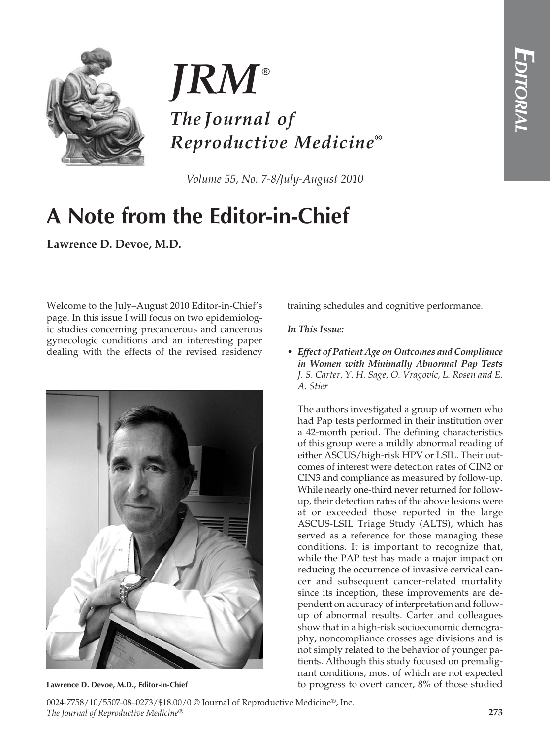



*Volume 55, No. 7-8/July-August 2010*

## **A Note from the Editor-in-Chief**

**Lawrence D. Devoe, M.D.**

Welcome to the July–August 2010 Editor-in-Chief's page. In this issue I will focus on two epidemiologic studies concerning precancerous and cancerous gynecologic conditions and an interesting paper dealing with the effects of the revised residency



**Lawrence D. Devoe, M.D., Editor-in-Chief**

training schedules and cognitive performance.

## *In This Issue:*

*• Effect of Patient Age on Outcomes and Compliance in Women with Minimally Abnormal Pap Tests J. S. Carter, Y. H. Sage, O. Vragovic, L. Rosen and E. A. Stier*

The authors investigated a group of women who had Pap tests performed in their institution over a 42-month period. The defining characteristics of this group were a mildly abnormal reading of either ASCUS/high-risk HPV or LSIL. Their outcomes of interest were detection rates of CIN2 or CIN3 and compliance as measured by follow-up. While nearly one-third never returned for followup, their detection rates of the above lesions were at or exceeded those reported in the large ASCUS-LSIL Triage Study (ALTS), which has served as a reference for those managing these conditions. It is important to recognize that, while the PAP test has made a major impact on reducing the occurrence of invasive cervical cancer and subsequent cancer-related mortality since its inception, these improvements are dependent on accuracy of interpretation and followup of abnormal results. Carter and colleagues show that in a high-risk socioeconomic demography, noncompliance crosses age divisions and is not simply related to the behavior of younger patients. Although this study focused on premalignant conditions, most of which are not expected to progress to overt cancer, 8% of those studied

0024-7758/10/5507-08–0273/\$18.00/0 © Journal of Reproductive Medicine®, Inc. *The Journal of Reproductive Medicine*®